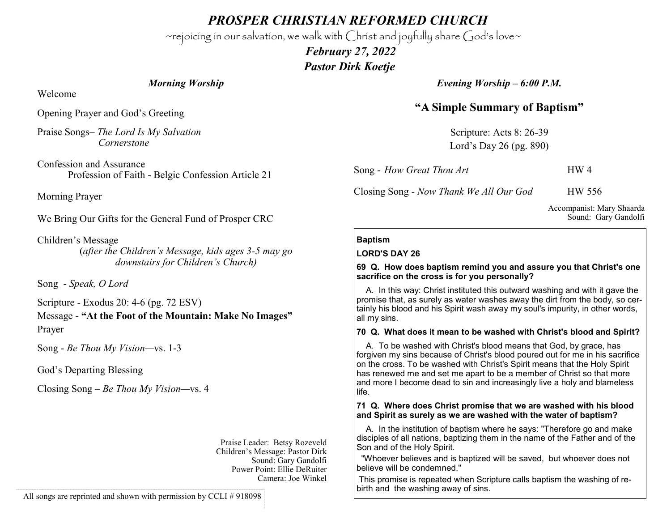*PROSPER CHRISTIAN REFORMED CHURCH*

~rejoicing in our salvation, we walk with Christ and joyfully share God's love~

 *February 27, 2022 Pastor Dirk Koetje* 

*Morning Worship*

Welcome

Opening Prayer and God's Greeting

Praise Songs– *The Lord Is My Salvation Cornerstone*

Confession and Assurance Profession of Faith - Belgic Confession Article 21

Morning Prayer

We Bring Our Gifts for the General Fund of Prosper CRC

Children's Message (*after the Children's Message, kids ages 3-5 may go downstairs for Children's Church)*

Song - *Speak, O Lord*

Scripture - Exodus 20: 4-6 (pg. 72 ESV)

Message - **"At the Foot of the Mountain: Make No Images"** Prayer

Song - *Be Thou My Vision—*vs. 1-3

God's Departing Blessing

Closing Song – *Be Thou My Vision—*vs. 4

Praise Leader: Betsy Rozeveld Children's Message: Pastor Dirk Sound: Gary Gandolfi Power Point: Ellie DeRuiter Camera: Joe Winkel

All songs are reprinted and shown with permission by CCLI #918098

*Evening Worship – 6:00 P.M.*

# **"A Simple Summary of Baptism"**

Scripture: Acts 8: 26-39 Lord's Day 26 (pg. 890)

Song - *How Great Thou Art* **HW 4** 

Closing Song - *Now Thank We All Our God* HW 556

Accompanist: Mary Shaarda Sound: Gary Gandolfi

### **Baptism**

#### **LORD'S DAY 26**

#### **69 Q. How does baptism remind you and assure you that Christ's one sacrifice on the cross is for you personally?**

 A. In this way: Christ instituted this outward washing and with it gave the promise that, as surely as water washes away the dirt from the body, so certainly his blood and his Spirit wash away my soul's impurity, in other words, all my sins.

#### **70 Q. What does it mean to be washed with Christ's blood and Spirit?**

 A. To be washed with Christ's blood means that God, by grace, has forgiven my sins because of Christ's blood poured out for me in his sacrifice on the cross. To be washed with Christ's Spirit means that the Holy Spirit has renewed me and set me apart to be a member of Christ so that more and more I become dead to sin and increasingly live a holy and blameless life.

#### **71 Q. Where does Christ promise that we are washed with his blood and Spirit as surely as we are washed with the water of baptism?**

 A. In the institution of baptism where he says: "Therefore go and make disciples of all nations, baptizing them in the name of the Father and of the Son and of the Holy Spirit.

 "Whoever believes and is baptized will be saved, but whoever does not believe will be condemned."

This promise is repeated when Scripture calls baptism the washing of rebirth and the washing away of sins.